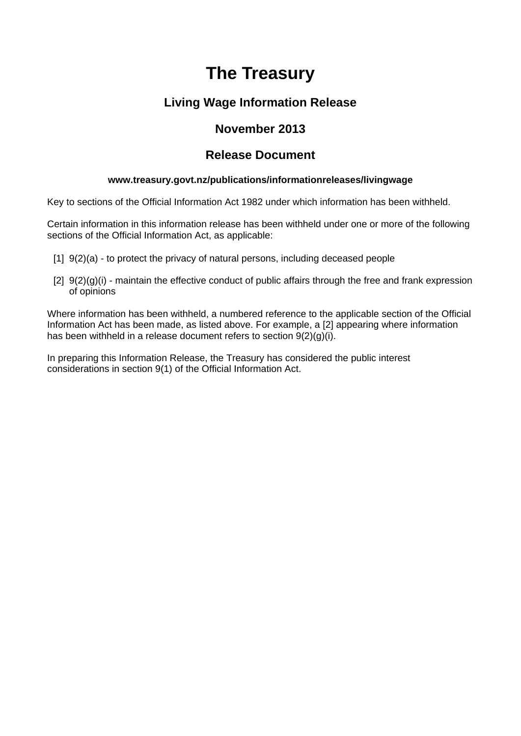# **The Treasury**

# **Living Wage Information Release**

# **November 2013**

# **Release Document**

### **www.treasury.govt.nz/publications/informationreleases/livingwage**

Key to sections of the Official Information Act 1982 under which information has been withheld.

Certain information in this information release has been withheld under one or more of the following sections of the Official Information Act, as applicable:

- [1] 9(2)(a) to protect the privacy of natural persons, including deceased people
- [2]  $9(2)(g)(i)$  maintain the effective conduct of public affairs through the free and frank expression of opinions

Where information has been withheld, a numbered reference to the applicable section of the Official Information Act has been made, as listed above. For example, a [2] appearing where information has been withheld in a release document refers to section 9(2)(g)(i).

In preparing this Information Release, the Treasury has considered the public interest considerations in section 9(1) of the Official Information Act.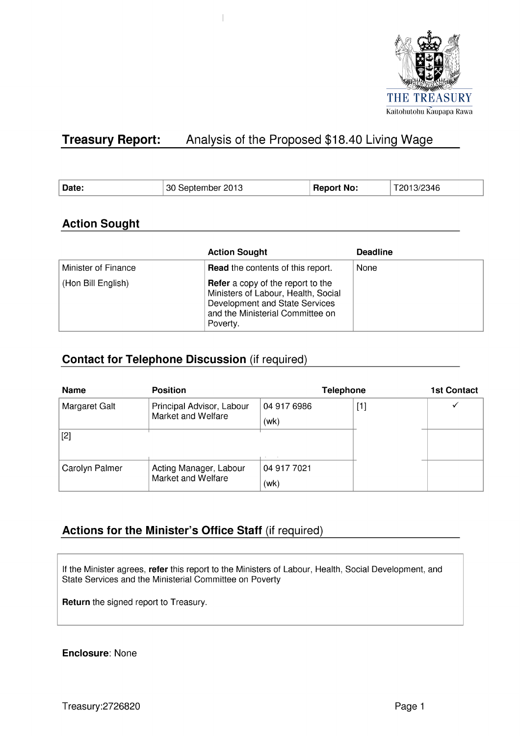

#### **Treasury Report:** Analysis of the Proposed \$18.40 Living Wage

 $\begin{array}{c} \hline \end{array}$ 

| Date:<br><b>Report No:</b><br>30 September 2013<br>3/2346<br>201 |  |
|------------------------------------------------------------------|--|
|------------------------------------------------------------------|--|

# **Action Sought**

|                     | <b>Action Sought</b>                                                                                                                                              | <b>Deadline</b> |
|---------------------|-------------------------------------------------------------------------------------------------------------------------------------------------------------------|-----------------|
| Minister of Finance | <b>Read</b> the contents of this report.                                                                                                                          | None            |
| (Hon Bill English)  | <b>Refer</b> a copy of the report to the<br>Ministers of Labour, Health, Social<br>Development and State Services<br>and the Ministerial Committee on<br>Poverty. |                 |

# **Contact for Telephone Discussion (if required)**

| <b>Name</b>        | <b>Telephone</b><br><b>Position</b>             |                     |  | <b>1st Contact</b> |
|--------------------|-------------------------------------------------|---------------------|--|--------------------|
| Margaret Galt      | Principal Advisor, Labour<br>Market and Welfare | 04 917 6986<br>(wk) |  |                    |
| $[2]$              |                                                 |                     |  |                    |
| Carolyn Palmer     | Acting Manager, Labour                          | 04 917 7021         |  |                    |
| Market and Welfare |                                                 | (wk)                |  |                    |

# Actions for the Minister's Office Staff (if required)

If the Minister agrees, refer this report to the Ministers of Labour, Health, Social Development, and State Services and the Ministerial Committee on Poverty

Return the signed report to Treasury.

**Enclosure: None**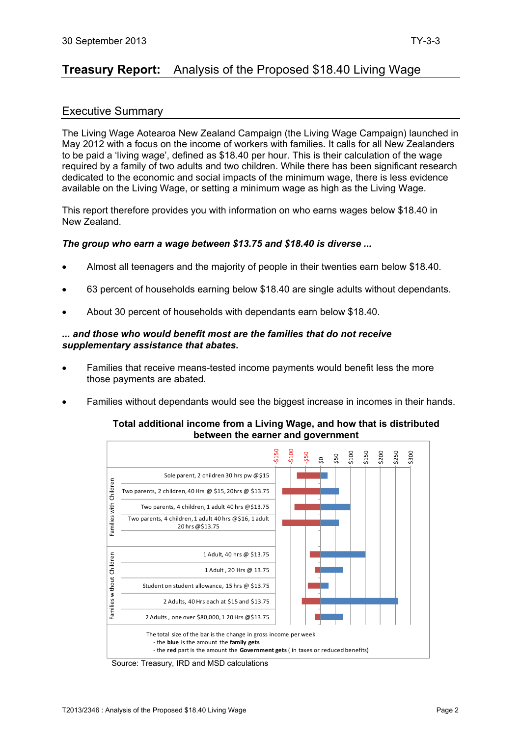# **Treasury Report:** Analysis of the Proposed \$18.40 Living Wage

# Executive Summary

The Living Wage Aotearoa New Zealand Campaign (the Living Wage Campaign) launched in May 2012 with a focus on the income of workers with families. It calls for all New Zealanders to be paid a 'living wage', defined as \$18.40 per hour. This is their calculation of the wage required by a family of two adults and two children. While there has been significant research dedicated to the economic and social impacts of the minimum wage, there is less evidence available on the Living Wage, or setting a minimum wage as high as the Living Wage.

This report therefore provides you with information on who earns wages below \$18.40 in New Zealand.

#### *The group who earn a wage between \$13.75 and \$18.40 is diverse ...*

- Almost all teenagers and the majority of people in their twenties earn below \$18.40.
- 63 percent of households earning below \$18.40 are single adults without dependants.
- About 30 percent of households with dependants earn below \$18.40.

#### *... and those who would benefit most are the families that do not receive supplementary assistance that abates.*

- Families that receive means-tested income payments would benefit less the more those payments are abated.
- Families without dependants would see the biggest increase in incomes in their hands.

#### **Total additional income from a Living Wage, and how that is distributed between the earner and government**



Source: Treasury, IRD and MSD calculations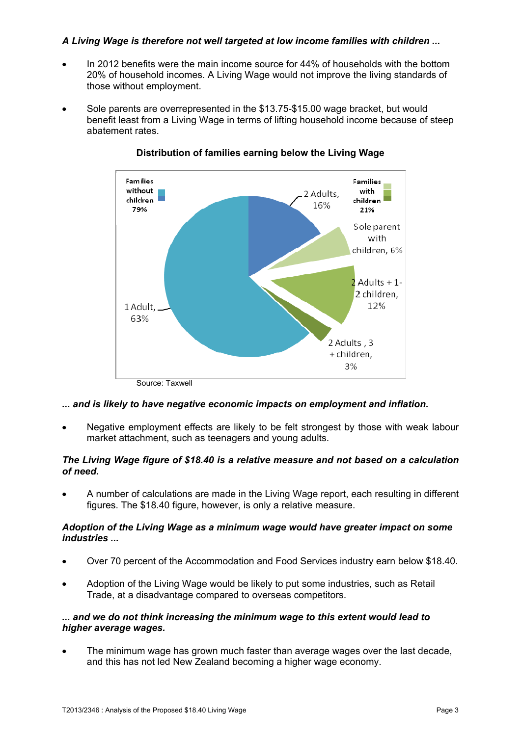# *A Living Wage is therefore not well targeted at low income families with children ...*

- In 2012 benefits were the main income source for 44% of households with the bottom 20% of household incomes. A Living Wage would not improve the living standards of those without employment.
- Sole parents are overrepresented in the \$13.75-\$15.00 wage bracket, but would benefit least from a Living Wage in terms of lifting household income because of steep abatement rates.



# **Distribution of families earning below the Living Wage**

*... and is likely to have negative economic impacts on employment and inflation.* 

 Negative employment effects are likely to be felt strongest by those with weak labour market attachment, such as teenagers and young adults.

#### *The Living Wage figure of \$18.40 is a relative measure and not based on a calculation of need.*

 A number of calculations are made in the Living Wage report, each resulting in different figures. The \$18.40 figure, however, is only a relative measure.

#### *Adoption of the Living Wage as a minimum wage would have greater impact on some industries ...*

- Over 70 percent of the Accommodation and Food Services industry earn below \$18.40.
- Adoption of the Living Wage would be likely to put some industries, such as Retail Trade, at a disadvantage compared to overseas competitors.

#### *... and we do not think increasing the minimum wage to this extent would lead to higher average wages.*

 The minimum wage has grown much faster than average wages over the last decade, and this has not led New Zealand becoming a higher wage economy.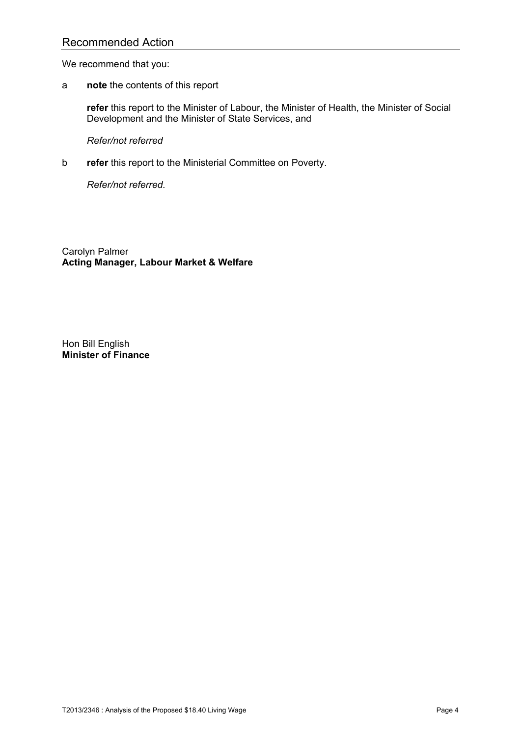# Recommended Action

We recommend that you:

a **note** the contents of this report

**refer** this report to the Minister of Labour, the Minister of Health, the Minister of Social Development and the Minister of State Services, and

*Refer/not referred* 

b **refer** this report to the Ministerial Committee on Poverty.

*Refer/not referred.* 

Carolyn Palmer **Acting Manager, Labour Market & Welfare** 

Hon Bill English **Minister of Finance**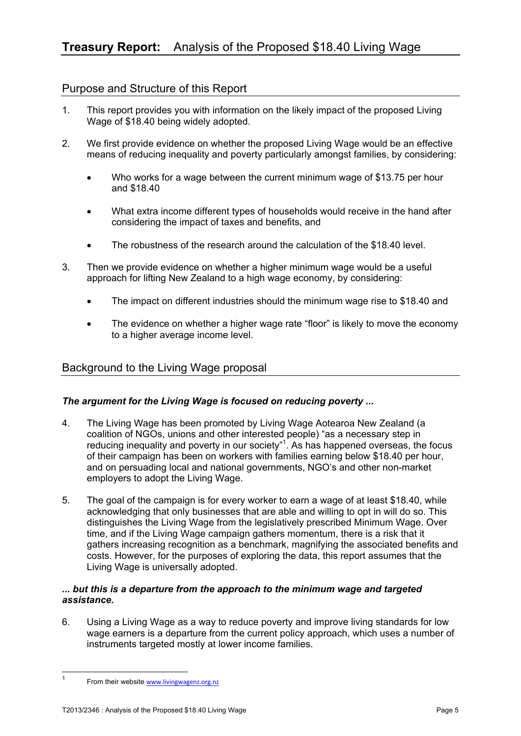# Purpose and Structure of this Report

- 1. This report provides you with information on the likely impact of the proposed Living Wage of \$18.40 being widely adopted.
- 2. We first provide evidence on whether the proposed Living Wage would be an effective means of reducing inequality and poverty particularly amongst families, by considering:
	- Who works for a wage between the current minimum wage of \$13.75 per hour and \$18.40
	- What extra income different types of households would receive in the hand after considering the impact of taxes and benefits, and
	- The robustness of the research around the calculation of the \$18.40 level.
- 3. Then we provide evidence on whether a higher minimum wage would be a useful approach for lifting New Zealand to a high wage economy, by considering:
	- The impact on different industries should the minimum wage rise to \$18.40 and
	- The evidence on whether a higher wage rate "floor" is likely to move the economy to a higher average income level.

# Background to the Living Wage proposal

# *The argument for the Living Wage is focused on reducing poverty ...*

- 4. The Living Wage has been promoted by Living Wage Aotearoa New Zealand (a coalition of NGOs, unions and other interested people) "as a necessary step in reducing inequality and poverty in our society"<sup>1</sup>. As has happened overseas, the focus of their campaign has been on workers with families earning below \$18.40 per hour, and on persuading local and national governments, NGO's and other non-market employers to adopt the Living Wage.
- 5. The goal of the campaign is for every worker to earn a wage of at least \$18.40, while acknowledging that only businesses that are able and willing to opt in will do so. This distinguishes the Living Wage from the legislatively prescribed Minimum Wage. Over time, and if the Living Wage campaign gathers momentum, there is a risk that it gathers increasing recognition as a benchmark, magnifying the associated benefits and costs. However, for the purposes of exploring the data, this report assumes that the Living Wage is universally adopted.

#### *... but this is a departure from the approach to the minimum wage and targeted assistance.*

6. Using a Living Wage as a way to reduce poverty and improve living standards for low wage earners is a departure from the current policy approach, which uses a number of instruments targeted mostly at lower income families.

<sup>-&</sup>lt;br>1 From their website www.livingwagenz.org.nz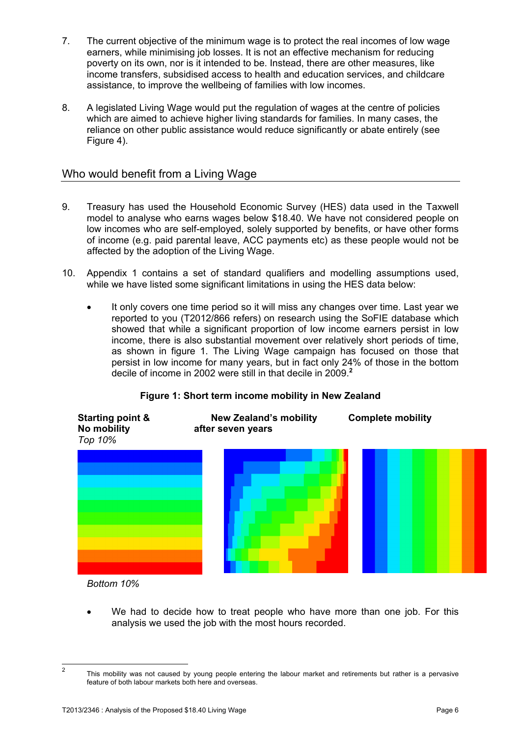- 7. The current objective of the minimum wage is to protect the real incomes of low wage earners, while minimising job losses. It is not an effective mechanism for reducing poverty on its own, nor is it intended to be. Instead, there are other measures, like income transfers, subsidised access to health and education services, and childcare assistance, to improve the wellbeing of families with low incomes.
- 8. A legislated Living Wage would put the regulation of wages at the centre of policies which are aimed to achieve higher living standards for families. In many cases, the reliance on other public assistance would reduce significantly or abate entirely (see Figure 4).

# Who would benefit from a Living Wage

- 9. Treasury has used the Household Economic Survey (HES) data used in the Taxwell model to analyse who earns wages below \$18.40. We have not considered people on low incomes who are self-employed, solely supported by benefits, or have other forms of income (e.g. paid parental leave, ACC payments etc) as these people would not be affected by the adoption of the Living Wage.
- 10. Appendix 1 contains a set of standard qualifiers and modelling assumptions used, while we have listed some significant limitations in using the HES data below:
	- It only covers one time period so it will miss any changes over time. Last year we reported to you (T2012/866 refers) on research using the SoFIE database which showed that while a significant proportion of low income earners persist in low income, there is also substantial movement over relatively short periods of time, as shown in figure 1. The Living Wage campaign has focused on those that persist in low income for many years, but in fact only 24% of those in the bottom decile of income in 2002 were still in that decile in 2009.**<sup>2</sup>**

# **Figure 1: Short term income mobility in New Zealand**



*Bottom 10%* 

 We had to decide how to treat people who have more than one job. For this analysis we used the job with the most hours recorded.

 $\overline{2}$ 

This mobility was not caused by young people entering the labour market and retirements but rather is a pervasive feature of both labour markets both here and overseas.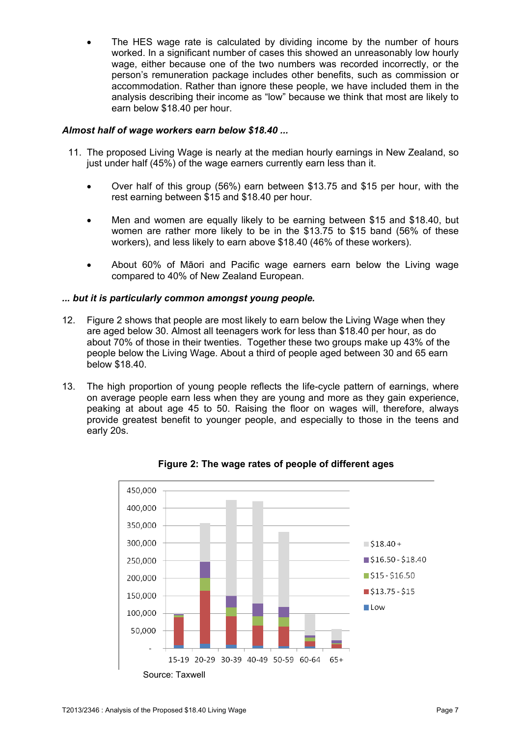The HES wage rate is calculated by dividing income by the number of hours worked. In a significant number of cases this showed an unreasonably low hourly wage, either because one of the two numbers was recorded incorrectly, or the person's remuneration package includes other benefits, such as commission or accommodation. Rather than ignore these people, we have included them in the analysis describing their income as "low" because we think that most are likely to earn below \$18.40 per hour.

#### *Almost half of wage workers earn below \$18.40 ...*

- 11. The proposed Living Wage is nearly at the median hourly earnings in New Zealand, so just under half (45%) of the wage earners currently earn less than it.
	- Over half of this group (56%) earn between \$13.75 and \$15 per hour, with the rest earning between \$15 and \$18.40 per hour.
	- Men and women are equally likely to be earning between \$15 and \$18.40, but women are rather more likely to be in the \$13.75 to \$15 band (56% of these workers), and less likely to earn above \$18.40 (46% of these workers).
	- About 60% of Māori and Pacific wage earners earn below the Living wage compared to 40% of New Zealand European.

#### *... but it is particularly common amongst young people.*

- 12. Figure 2 shows that people are most likely to earn below the Living Wage when they are aged below 30. Almost all teenagers work for less than \$18.40 per hour, as do about 70% of those in their twenties. Together these two groups make up 43% of the people below the Living Wage. About a third of people aged between 30 and 65 earn below \$18.40.
- 13. The high proportion of young people reflects the life-cycle pattern of earnings, where on average people earn less when they are young and more as they gain experience, peaking at about age 45 to 50. Raising the floor on wages will, therefore, always provide greatest benefit to younger people, and especially to those in the teens and early 20s.



**Figure 2: The wage rates of people of different ages**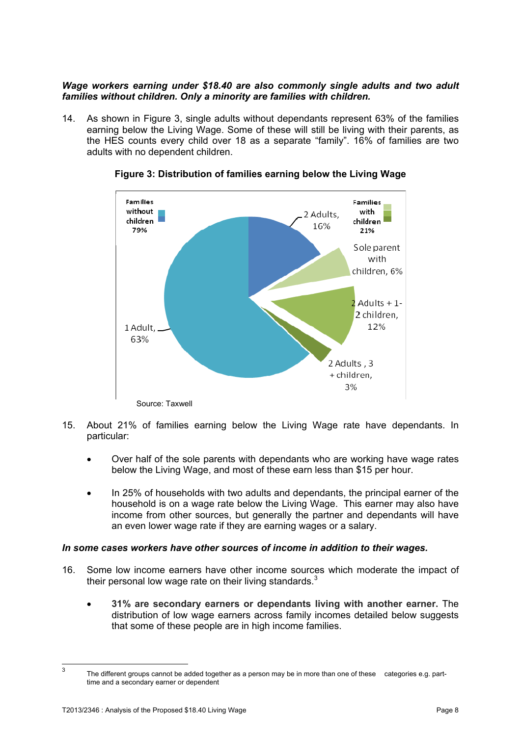#### *Wage workers earning under \$18.40 are also commonly single adults and two adult families without children. Only a minority are families with children.*

14. As shown in Figure 3, single adults without dependants represent 63% of the families earning below the Living Wage. Some of these will still be living with their parents, as the HES counts every child over 18 as a separate "family". 16% of families are two adults with no dependent children.



**Figure 3: Distribution of families earning below the Living Wage** 

- 15. About 21% of families earning below the Living Wage rate have dependants. In particular:
	- Over half of the sole parents with dependants who are working have wage rates below the Living Wage, and most of these earn less than \$15 per hour.
	- In 25% of households with two adults and dependants, the principal earner of the household is on a wage rate below the Living Wage. This earner may also have income from other sources, but generally the partner and dependants will have an even lower wage rate if they are earning wages or a salary.

#### *In some cases workers have other sources of income in addition to their wages.*

- 16. Some low income earners have other income sources which moderate the impact of their personal low wage rate on their living standards.<sup>3</sup>
	- **31% are secondary earners or dependants living with another earner.** The distribution of low wage earners across family incomes detailed below suggests that some of these people are in high income families.

 $\frac{1}{3}$  The different groups cannot be added together as a person may be in more than one of these categories e.g. part time and a secondary earner or dependent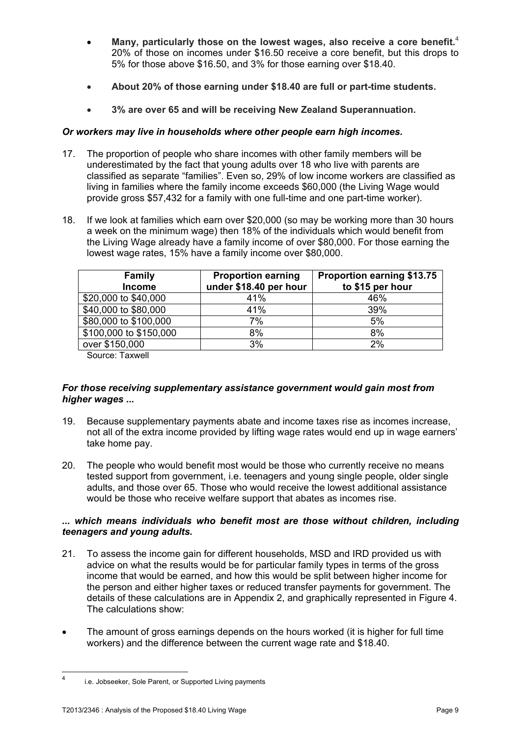- **Many, particularly those on the lowest wages, also receive a core benefit***.* 4 20% of those on incomes under \$16.50 receive a core benefit, but this drops to 5% for those above \$16.50, and 3% for those earning over \$18.40.
- **About 20% of those earning under \$18.40 are full or part-time students.**
- **3% are over 65 and will be receiving New Zealand Superannuation.**

#### *Or workers may live in households where other people earn high incomes.*

- 17. The proportion of people who share incomes with other family members will be underestimated by the fact that young adults over 18 who live with parents are classified as separate "families". Even so, 29% of low income workers are classified as living in families where the family income exceeds \$60,000 (the Living Wage would provide gross \$57,432 for a family with one full-time and one part-time worker).
- 18. If we look at families which earn over \$20,000 (so may be working more than 30 hours a week on the minimum wage) then 18% of the individuals which would benefit from the Living Wage already have a family income of over \$80,000. For those earning the lowest wage rates, 15% have a family income over \$80,000.

| <b>Family</b><br><b>Income</b> | <b>Proportion earning</b><br>under \$18.40 per hour | <b>Proportion earning \$13.75</b><br>to \$15 per hour |
|--------------------------------|-----------------------------------------------------|-------------------------------------------------------|
| \$20,000 to \$40,000           | 41%                                                 | 46%                                                   |
| \$40,000 to \$80,000           | 41%                                                 | 39%                                                   |
| \$80,000 to \$100,000          | 7%                                                  | 5%                                                    |
| \$100,000 to \$150,000         | 8%                                                  | 8%                                                    |
| over \$150,000                 | 3%                                                  | 2%                                                    |

Source: Taxwell

#### *For those receiving supplementary assistance government would gain most from higher wages ...*

- 19. Because supplementary payments abate and income taxes rise as incomes increase, not all of the extra income provided by lifting wage rates would end up in wage earners' take home pay.
- 20. The people who would benefit most would be those who currently receive no means tested support from government, i.e. teenagers and young single people, older single adults, and those over 65. Those who would receive the lowest additional assistance would be those who receive welfare support that abates as incomes rise.

#### *... which means individuals who benefit most are those without children, including teenagers and young adults.*

- 21. To assess the income gain for different households, MSD and IRD provided us with advice on what the results would be for particular family types in terms of the gross income that would be earned, and how this would be split between higher income for the person and either higher taxes or reduced transfer payments for government. The details of these calculations are in Appendix 2, and graphically represented in Figure 4. The calculations show:
- The amount of gross earnings depends on the hours worked (it is higher for full time workers) and the difference between the current wage rate and \$18.40.

 $\frac{1}{4}$ i.e. Jobseeker, Sole Parent, or Supported Living payments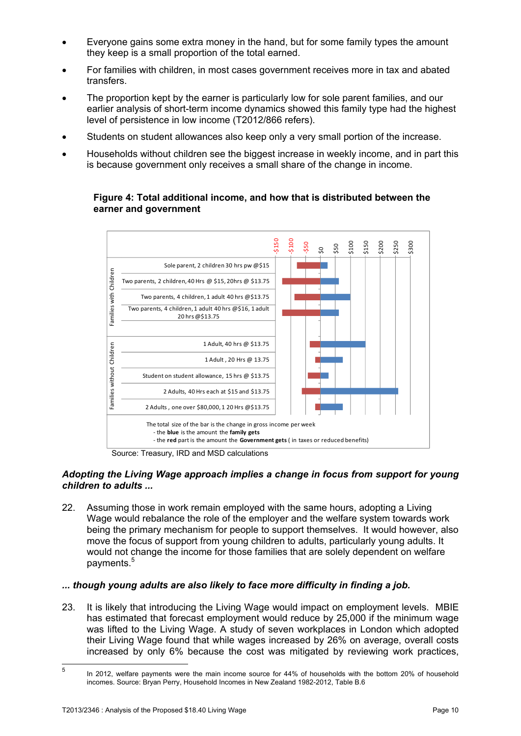- Everyone gains some extra money in the hand, but for some family types the amount they keep is a small proportion of the total earned.
- For families with children, in most cases government receives more in tax and abated transfers.
- The proportion kept by the earner is particularly low for sole parent families, and our earlier analysis of short-term income dynamics showed this family type had the highest level of persistence in low income (T2012/866 refers).
- Students on student allowances also keep only a very small portion of the increase.
- Households without children see the biggest increase in weekly income, and in part this is because government only receives a small share of the change in income.

#### **Figure 4: Total additional income, and how that is distributed between the earner and government**



#### *Adopting the Living Wage approach implies a change in focus from support for young children to adults ...*

22. Assuming those in work remain employed with the same hours, adopting a Living Wage would rebalance the role of the employer and the welfare system towards work being the primary mechanism for people to support themselves. It would however, also move the focus of support from young children to adults, particularly young adults. It would not change the income for those families that are solely dependent on welfare payments.<sup>5</sup>

#### *... though young adults are also likely to face more difficulty in finding a job.*

23. It is likely that introducing the Living Wage would impact on employment levels. MBIE has estimated that forecast employment would reduce by 25,000 if the minimum wage was lifted to the Living Wage. A study of seven workplaces in London which adopted their Living Wage found that while wages increased by 26% on average, overall costs increased by only 6% because the cost was mitigated by reviewing work practices,

 $\frac{1}{5}$  In 2012, welfare payments were the main income source for 44% of households with the bottom 20% of household incomes. Source: Bryan Perry, Household Incomes in New Zealand 1982-2012, Table B.6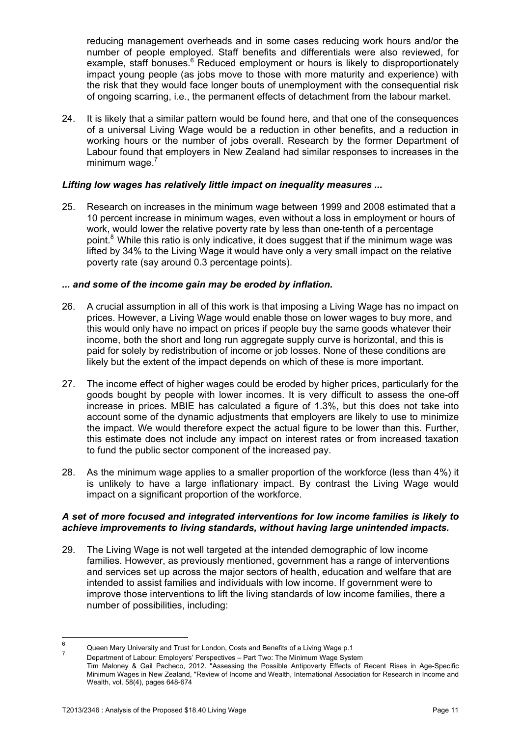reducing management overheads and in some cases reducing work hours and/or the number of people employed. Staff benefits and differentials were also reviewed, for example, staff bonuses.<sup>6</sup> Reduced employment or hours is likely to disproportionately impact young people (as jobs move to those with more maturity and experience) with the risk that they would face longer bouts of unemployment with the consequential risk of ongoing scarring, i.e., the permanent effects of detachment from the labour market.

24. It is likely that a similar pattern would be found here, and that one of the consequences of a universal Living Wage would be a reduction in other benefits, and a reduction in working hours or the number of jobs overall. Research by the former Department of Labour found that employers in New Zealand had similar responses to increases in the minimum wage. $<sup>7</sup>$ </sup>

#### *Lifting low wages has relatively little impact on inequality measures ...*

25. Research on increases in the minimum wage between 1999 and 2008 estimated that a 10 percent increase in minimum wages, even without a loss in employment or hours of work, would lower the relative poverty rate by less than one-tenth of a percentage point.<sup>8</sup> While this ratio is only indicative, it does suggest that if the minimum wage was lifted by 34% to the Living Wage it would have only a very small impact on the relative poverty rate (say around 0.3 percentage points).

#### *... and some of the income gain may be eroded by inflation.*

- 26. A crucial assumption in all of this work is that imposing a Living Wage has no impact on prices. However, a Living Wage would enable those on lower wages to buy more, and this would only have no impact on prices if people buy the same goods whatever their income, both the short and long run aggregate supply curve is horizontal, and this is paid for solely by redistribution of income or job losses. None of these conditions are likely but the extent of the impact depends on which of these is more important.
- 27. The income effect of higher wages could be eroded by higher prices, particularly for the goods bought by people with lower incomes. It is very difficult to assess the one-off increase in prices. MBIE has calculated a figure of 1.3%, but this does not take into account some of the dynamic adjustments that employers are likely to use to minimize the impact. We would therefore expect the actual figure to be lower than this. Further, this estimate does not include any impact on interest rates or from increased taxation to fund the public sector component of the increased pay.
- 28. As the minimum wage applies to a smaller proportion of the workforce (less than 4%) it is unlikely to have a large inflationary impact. By contrast the Living Wage would impact on a significant proportion of the workforce.

#### *A set of more focused and integrated interventions for low income families is likely to achieve improvements to living standards, without having large unintended impacts.*

29. The Living Wage is not well targeted at the intended demographic of low income families. However, as previously mentioned, government has a range of interventions and services set up across the major sectors of health, education and welfare that are intended to assist families and individuals with low income. If government were to improve those interventions to lift the living standards of low income families, there a number of possibilities, including:

<sup>—&</sup>lt;br>6 Queen Mary University and Trust for London, Costs and Benefits of a Living Wage p.1 7

Department of Labour: Employers' Perspectives – Part Two: The Minimum Wage System Tim Maloney & Gail Pacheco, 2012. "Assessing the Possible Antipoverty Effects of Recent Rises in Age-Specific Minimum Wages in New Zealand, "Review of Income and Wealth, International Association for Research in Income and Wealth, vol. 58(4), pages 648-674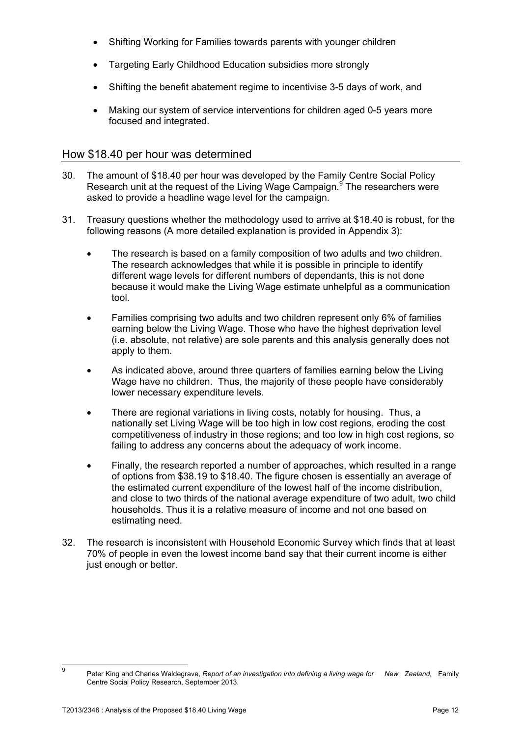- Shifting Working for Families towards parents with younger children
- Targeting Early Childhood Education subsidies more strongly
- Shifting the benefit abatement regime to incentivise 3-5 days of work, and
- Making our system of service interventions for children aged 0-5 years more focused and integrated.

### How \$18.40 per hour was determined

- 30. The amount of \$18.40 per hour was developed by the Family Centre Social Policy Research unit at the request of the Living Wage Campaign. The researchers were asked to provide a headline wage level for the campaign.
- 31. Treasury questions whether the methodology used to arrive at \$18.40 is robust, for the following reasons (A more detailed explanation is provided in Appendix 3):
	- The research is based on a family composition of two adults and two children. The research acknowledges that while it is possible in principle to identify different wage levels for different numbers of dependants, this is not done because it would make the Living Wage estimate unhelpful as a communication tool.
	- Families comprising two adults and two children represent only 6% of families earning below the Living Wage. Those who have the highest deprivation level (i.e. absolute, not relative) are sole parents and this analysis generally does not apply to them.
	- As indicated above, around three quarters of families earning below the Living Wage have no children. Thus, the majority of these people have considerably lower necessary expenditure levels.
	- There are regional variations in living costs, notably for housing. Thus, a nationally set Living Wage will be too high in low cost regions, eroding the cost competitiveness of industry in those regions; and too low in high cost regions, so failing to address any concerns about the adequacy of work income.
	- Finally, the research reported a number of approaches, which resulted in a range of options from \$38.19 to \$18.40. The figure chosen is essentially an average of the estimated current expenditure of the lowest half of the income distribution, and close to two thirds of the national average expenditure of two adult, two child households. Thus it is a relative measure of income and not one based on estimating need.
- 32. The research is inconsistent with Household Economic Survey which finds that at least 70% of people in even the lowest income band say that their current income is either just enough or better.

<sup>–&</sup>lt;br>9

Peter King and Charles Waldegrave, Report of an investigation into defining a living wage for New Zealand, Family Centre Social Policy Research, September 2013.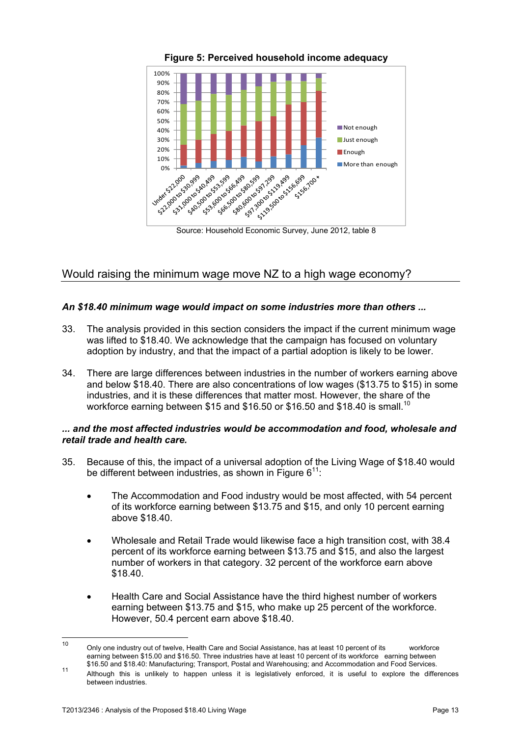

**Figure 5: Perceived household income adequacy**

Source: Household Economic Survey, June 2012, table 8

# Would raising the minimum wage move NZ to a high wage economy?

### *An \$18.40 minimum wage would impact on some industries more than others ...*

- 33. The analysis provided in this section considers the impact if the current minimum wage was lifted to \$18.40. We acknowledge that the campaign has focused on voluntary adoption by industry, and that the impact of a partial adoption is likely to be lower.
- 34. There are large differences between industries in the number of workers earning above and below \$18.40. There are also concentrations of low wages (\$13.75 to \$15) in some industries, and it is these differences that matter most. However, the share of the workforce earning between \$15 and \$16.50 or \$16.50 and \$18.40 is small.<sup>10</sup>

#### *... and the most affected industries would be accommodation and food, wholesale and retail trade and health care.*

- 35. Because of this, the impact of a universal adoption of the Living Wage of \$18.40 would be different between industries, as shown in Figure  $6^{11}$ .
	- The Accommodation and Food industry would be most affected, with 54 percent of its workforce earning between \$13.75 and \$15, and only 10 percent earning above \$18.40.
	- Wholesale and Retail Trade would likewise face a high transition cost, with 38.4 percent of its workforce earning between \$13.75 and \$15, and also the largest number of workers in that category. 32 percent of the workforce earn above \$18.40.
	- Health Care and Social Assistance have the third highest number of workers earning between \$13.75 and \$15, who make up 25 percent of the workforce. However, 50.4 percent earn above \$18.40.

 $10$ Only one industry out of twelve, Health Care and Social Assistance, has at least 10 percent of its workforce earning between \$15.00 and \$16.50. Three industries have at least 10 percent of its workforce earning between<br>\$16.50 and \$18.40: Manufacturing; Transport, Postal and Warehousing; and Accommodation and Food Services.

 <sup>\$16.50</sup> and \$18.40: Manufacturing; Transport, Postal and Warehousing; and Accommodation and Food Services. 11 Although this is unlikely to happen unless it is legislatively enforced, it is useful to explore the differences between industries.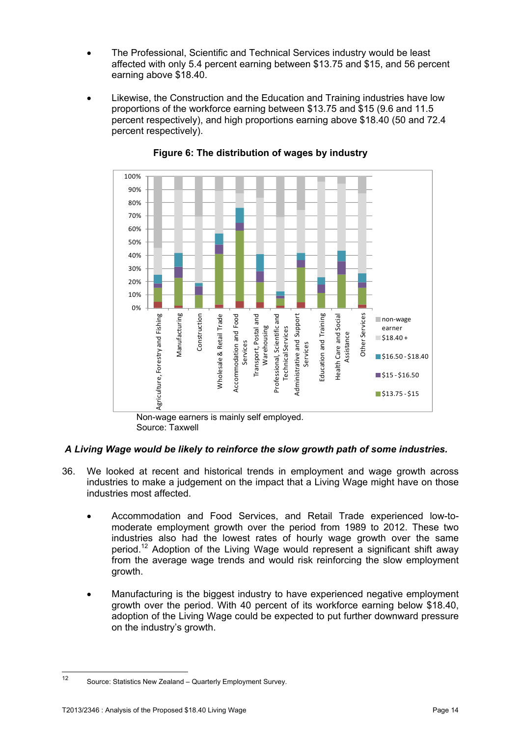- The Professional, Scientific and Technical Services industry would be least affected with only 5.4 percent earning between \$13.75 and \$15, and 56 percent earning above \$18.40.
- Likewise, the Construction and the Education and Training industries have low proportions of the workforce earning between \$13.75 and \$15 (9.6 and 11.5 percent respectively), and high proportions earning above \$18.40 (50 and 72.4 percent respectively).



### **Figure 6: The distribution of wages by industry**

Source: Taxwell

# *A Living Wage would be likely to reinforce the slow growth path of some industries.*

- 36. We looked at recent and historical trends in employment and wage growth across industries to make a judgement on the impact that a Living Wage might have on those industries most affected.
	- Accommodation and Food Services, and Retail Trade experienced low-tomoderate employment growth over the period from 1989 to 2012. These two industries also had the lowest rates of hourly wage growth over the same period.12 Adoption of the Living Wage would represent a significant shift away from the average wage trends and would risk reinforcing the slow employment growth.
	- Manufacturing is the biggest industry to have experienced negative employment growth over the period. With 40 percent of its workforce earning below \$18.40, adoption of the Living Wage could be expected to put further downward pressure on the industry's growth.

 $12$ Source: Statistics New Zealand – Quarterly Employment Survey.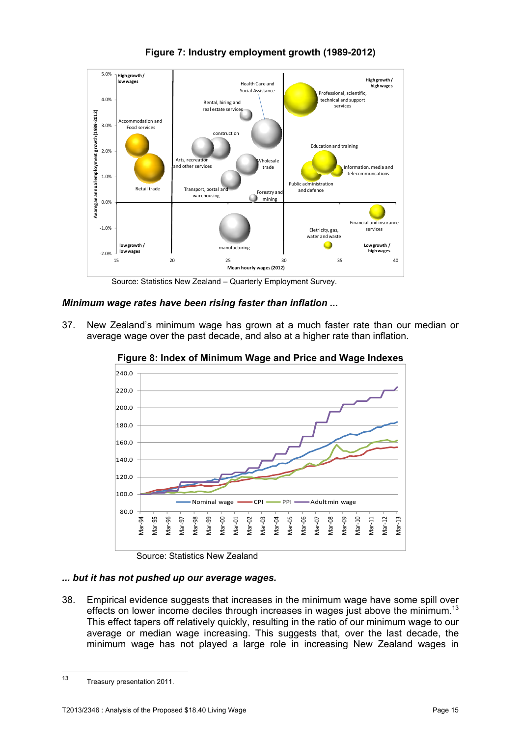

**Figure 7: Industry employment growth (1989-2012)** 

Source: Statistics New Zealand – Quarterly Employment Survey.

*Minimum wage rates have been rising faster than inflation ...* 

37. New Zealand's minimum wage has grown at a much faster rate than our median or average wage over the past decade, and also at a higher rate than inflation.



**Figure 8: Index of Minimum Wage and Price and Wage Indexes** 

Source: Statistics New Zealand

# *... but it has not pushed up our average wages.*

38. Empirical evidence suggests that increases in the minimum wage have some spill over effects on lower income deciles through increases in wages just above the minimum.<sup>13</sup> This effect tapers off relatively quickly, resulting in the ratio of our minimum wage to our average or median wage increasing. This suggests that, over the last decade, the minimum wage has not played a large role in increasing New Zealand wages in

 $13$ 13 Treasury presentation 2011*.*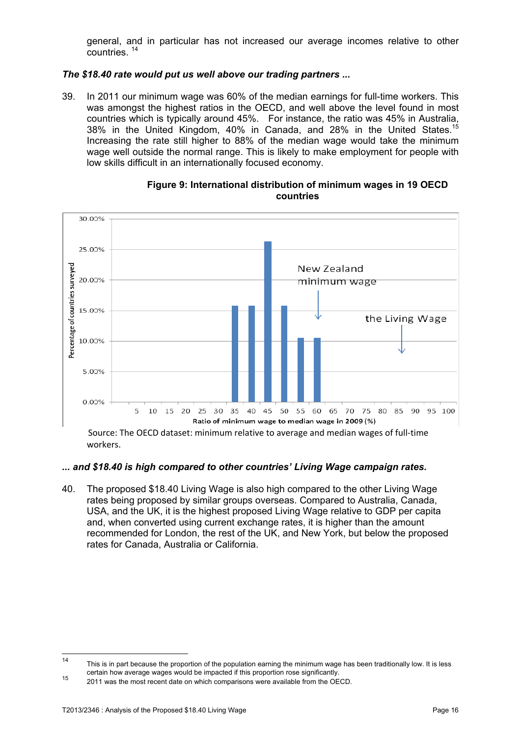general, and in particular has not increased our average incomes relative to other countries. 14

#### *The \$18.40 rate would put us well above our trading partners ...*

39. In 2011 our minimum wage was 60% of the median earnings for full-time workers. This was amongst the highest ratios in the OECD, and well above the level found in most countries which is typically around 45%. For instance, the ratio was 45% in Australia, 38% in the United Kingdom, 40% in Canada, and 28% in the United States.15 Increasing the rate still higher to 88% of the median wage would take the minimum wage well outside the normal range. This is likely to make employment for people with low skills difficult in an internationally focused economy.



**Figure 9: International distribution of minimum wages in 19 OECD countries** 

Source: The OECD dataset: minimum relative to average and median wages of full‐time workers.

#### *... and \$18.40 is high compared to other countries' Living Wage campaign rates.*

40. The proposed \$18.40 Living Wage is also high compared to the other Living Wage rates being proposed by similar groups overseas. Compared to Australia, Canada, USA, and the UK, it is the highest proposed Living Wage relative to GDP per capita and, when converted using current exchange rates, it is higher than the amount recommended for London, the rest of the UK, and New York, but below the proposed rates for Canada, Australia or California.

 $14$ This is in part because the proportion of the population earning the minimum wage has been traditionally low. It is less certain how average wages would be impacted if this proportion rose significantly.<br>
2011 was the most recent date on which comparisons were available from the OECD.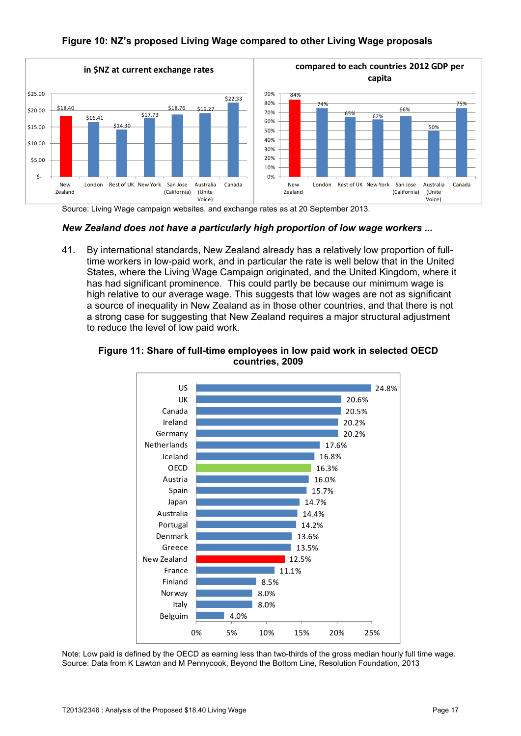### **Figure 10: NZ's proposed Living Wage compared to other Living Wage proposals**



Source: Living Wage campaign websites, and exchange rates as at 20 September 2013.

#### *New Zealand does not have a particularly high proportion of low wage workers ...*

41. By international standards, New Zealand already has a relatively low proportion of fulltime workers in low-paid work, and in particular the rate is well below that in the United States, where the Living Wage Campaign originated, and the United Kingdom, where it has had significant prominence. This could partly be because our minimum wage is high relative to our average wage. This suggests that low wages are not as significant a source of inequality in New Zealand as in those other countries, and that there is not a strong case for suggesting that New Zealand requires a major structural adjustment to reduce the level of low paid work.



#### **Figure 11: Share of full-time employees in low paid work in selected OECD countries, 2009**

Note: Low paid is defined by the OECD as earning less than two-thirds of the gross median hourly full time wage. Source: Data from K Lawton and M Pennycook, Beyond the Bottom Line, Resolution Foundation, 2013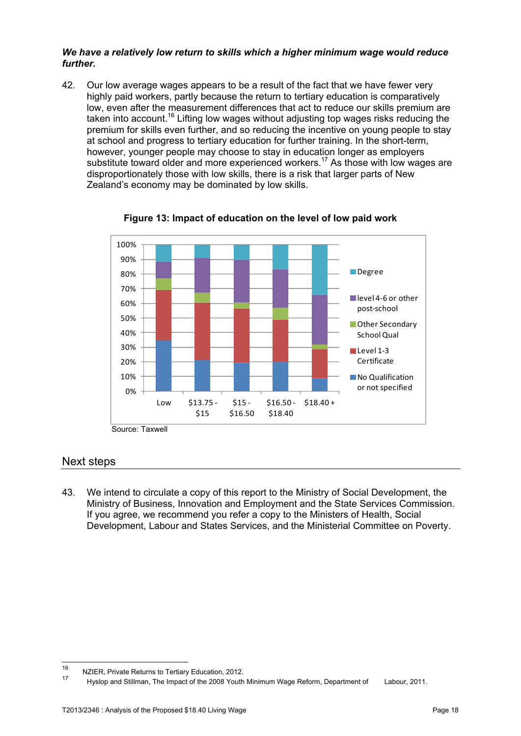#### *We have a relatively low return to skills which a higher minimum wage would reduce further.*

42. Our low average wages appears to be a result of the fact that we have fewer very highly paid workers, partly because the return to tertiary education is comparatively low, even after the measurement differences that act to reduce our skills premium are taken into account.<sup>16</sup> Lifting low wages without adjusting top wages risks reducing the premium for skills even further, and so reducing the incentive on young people to stay at school and progress to tertiary education for further training. In the short-term, however, younger people may choose to stay in education longer as employers substitute toward older and more experienced workers.<sup>17</sup> As those with low wages are disproportionately those with low skills, there is a risk that larger parts of New Zealand's economy may be dominated by low skills.



**Figure 13: Impact of education on the level of low paid work** 

Source: Taxwell

# Next steps

43. We intend to circulate a copy of this report to the Ministry of Social Development, the Ministry of Business, Innovation and Employment and the State Services Commission. If you agree, we recommend you refer a copy to the Ministers of Health, Social Development, Labour and States Services, and the Ministerial Committee on Poverty.

 $16$ <sup>16</sup> NZIER, Private Returns to Tertiary Education, 2012.

<sup>17</sup> Hyslop and Stillman, The Impact of the 2008 Youth Minimum Wage Reform, Department of Labour, 2011.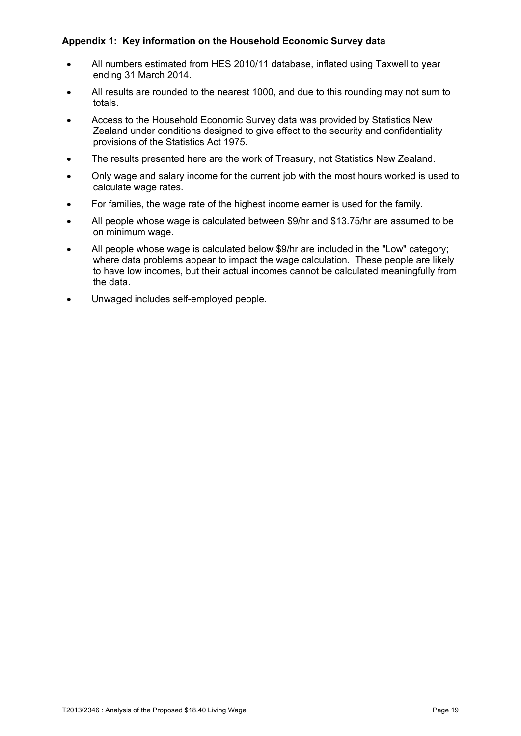# **Appendix 1: Key information on the Household Economic Survey data**

- All numbers estimated from HES 2010/11 database, inflated using Taxwell to year ending 31 March 2014.
- All results are rounded to the nearest 1000, and due to this rounding may not sum to totals.
- Access to the Household Economic Survey data was provided by Statistics New Zealand under conditions designed to give effect to the security and confidentiality provisions of the Statistics Act 1975.
- The results presented here are the work of Treasury, not Statistics New Zealand.
- Only wage and salary income for the current job with the most hours worked is used to calculate wage rates.
- For families, the wage rate of the highest income earner is used for the family.
- All people whose wage is calculated between \$9/hr and \$13.75/hr are assumed to be on minimum wage.
- All people whose wage is calculated below \$9/hr are included in the "Low" category; where data problems appear to impact the wage calculation. These people are likely to have low incomes, but their actual incomes cannot be calculated meaningfully from the data.
- Unwaged includes self-employed people.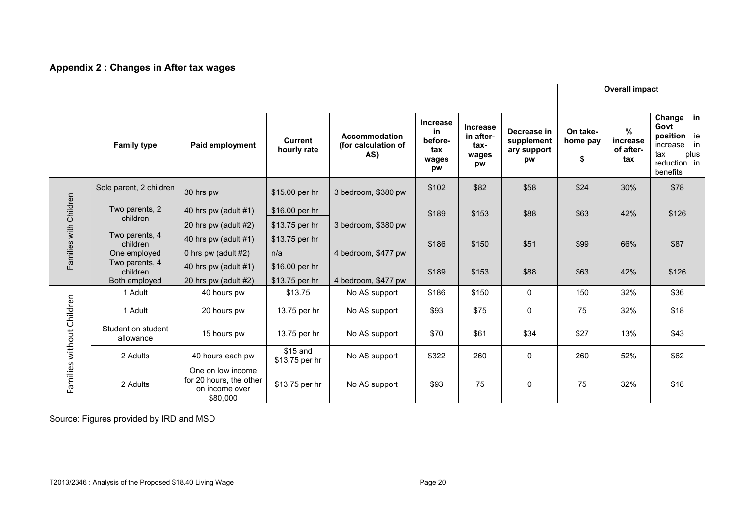# **Appendix 2 : Changes in After tax wages**

|                           |                                                                             |                                                                            |                                  |                                             |                                                        |                                                     | <b>Overall impact</b>                          |                            |                                               |                                                                                                                     |
|---------------------------|-----------------------------------------------------------------------------|----------------------------------------------------------------------------|----------------------------------|---------------------------------------------|--------------------------------------------------------|-----------------------------------------------------|------------------------------------------------|----------------------------|-----------------------------------------------|---------------------------------------------------------------------------------------------------------------------|
|                           | <b>Family type</b>                                                          | Paid employment                                                            | <b>Current</b><br>hourly rate    | Accommodation<br>(for calculation of<br>AS) | <b>Increase</b><br>in<br>before-<br>tax<br>wages<br>pw | <b>Increase</b><br>in after-<br>tax-<br>wages<br>pw | Decrease in<br>supplement<br>ary support<br>pw | On take-<br>home pay<br>\$ | $\frac{0}{0}$<br>increase<br>of after-<br>tax | Change $\overline{\mathsf{in}}$<br>Govt<br>position ie<br>in<br>increase<br>plus<br>tax<br>reduction in<br>benefits |
|                           | Sole parent, 2 children                                                     | 30 hrs pw                                                                  | \$15.00 per hr                   | 3 bedroom, \$380 pw                         | \$102                                                  | \$82                                                | \$58                                           | \$24                       | 30%                                           | \$78                                                                                                                |
| Families with Children    | Two parents, 2<br>children                                                  | 40 hrs pw (adult $#1$ )<br>20 hrs pw (adult #2)                            | \$16.00 per hr<br>\$13.75 per hr | 3 bedroom, \$380 pw                         | \$189                                                  | \$153                                               | \$88                                           | \$63                       | 42%                                           | \$126                                                                                                               |
|                           | Two parents, 4<br>children<br>One employed                                  | 40 hrs pw (adult #1)<br>0 hrs pw (adult $#2$ )                             | \$13.75 per hr<br>n/a            | 4 bedroom, \$477 pw                         | \$186                                                  | \$150                                               | \$51                                           | \$99                       | 66%                                           | \$87                                                                                                                |
|                           | Two parents, 4<br>children<br>Both employed                                 | 40 hrs pw (adult $#1$ )<br>20 hrs pw (adult #2)                            | \$16.00 per hr<br>\$13.75 per hr | 4 bedroom, \$477 pw                         | \$189                                                  | \$153                                               | \$88                                           | \$63                       | 42%                                           | \$126                                                                                                               |
|                           | 1 Adult                                                                     | 40 hours pw                                                                | \$13.75                          | No AS support                               | \$186                                                  | \$150                                               | $\mathbf 0$                                    | 150                        | 32%                                           | \$36                                                                                                                |
|                           | 1 Adult                                                                     | 20 hours pw                                                                | 13.75 per hr                     | No AS support                               | \$93                                                   | \$75                                                | $\mathbf 0$                                    | 75                         | 32%                                           | \$18                                                                                                                |
|                           | Student on student<br>13.75 per hr<br>15 hours pw<br>allowance              |                                                                            | No AS support                    | \$70                                        | \$61                                                   | \$34                                                | \$27                                           | 13%                        | \$43                                          |                                                                                                                     |
| Families without Children | \$15 and<br>2 Adults<br>No AS support<br>40 hours each pw<br>\$13,75 per hr |                                                                            | \$322                            | 260                                         | $\mathbf 0$                                            | 260                                                 | 52%                                            | \$62                       |                                               |                                                                                                                     |
|                           | 2 Adults                                                                    | One on low income<br>for 20 hours, the other<br>on income over<br>\$80,000 | \$13.75 per hr                   | No AS support                               | \$93                                                   | 75                                                  | $\mathbf{0}$                                   | 75                         | 32%                                           | \$18                                                                                                                |

Source: Figures provided by IRD and MSD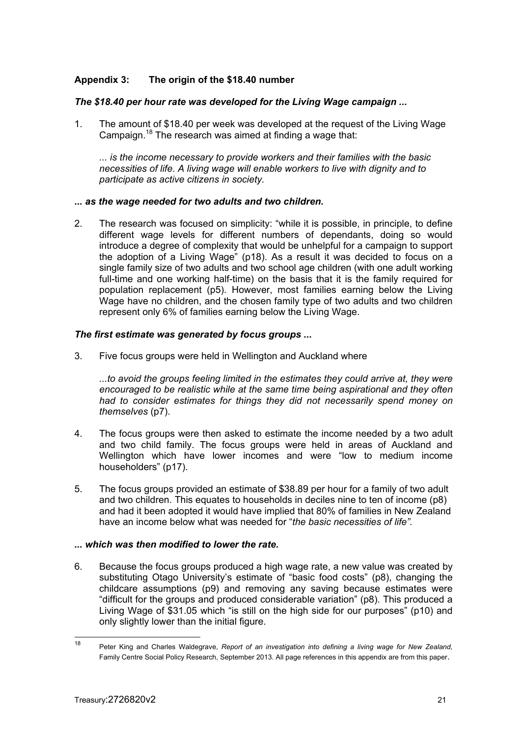### **Appendix 3: The origin of the \$18.40 number**

#### *The \$18.40 per hour rate was developed for the Living Wage campaign ...*

1. The amount of \$18.40 per week was developed at the request of the Living Wage Campaign.18 The research was aimed at finding a wage that:

*... is the income necessary to provide workers and their families with the basic necessities of life. A living wage will enable workers to live with dignity and to participate as active citizens in society.* 

#### *... as the wage needed for two adults and two children.*

2. The research was focused on simplicity: "while it is possible, in principle, to define different wage levels for different numbers of dependants, doing so would introduce a degree of complexity that would be unhelpful for a campaign to support the adoption of a Living Wage" (p18). As a result it was decided to focus on a single family size of two adults and two school age children (with one adult working full-time and one working half-time) on the basis that it is the family required for population replacement (p5). However, most families earning below the Living Wage have no children, and the chosen family type of two adults and two children represent only 6% of families earning below the Living Wage.

#### *The first estimate was generated by focus groups ...*

3. Five focus groups were held in Wellington and Auckland where

*...to avoid the groups feeling limited in the estimates they could arrive at, they were encouraged to be realistic while at the same time being aspirational and they often had to consider estimates for things they did not necessarily spend money on themselves* (p7).

- 4. The focus groups were then asked to estimate the income needed by a two adult and two child family. The focus groups were held in areas of Auckland and Wellington which have lower incomes and were "low to medium income householders" (p17).
- 5. The focus groups provided an estimate of \$38.89 per hour for a family of two adult and two children. This equates to households in deciles nine to ten of income (p8) and had it been adopted it would have implied that 80% of families in New Zealand have an income below what was needed for "*the basic necessities of life".*

#### *... which was then modified to lower the rate.*

6. Because the focus groups produced a high wage rate, a new value was created by substituting Otago University's estimate of "basic food costs" (p8), changing the childcare assumptions (p9) and removing any saving because estimates were "difficult for the groups and produced considerable variation" (p8). This produced a Living Wage of \$31.05 which "is still on the high side for our purposes" (p10) and only slightly lower than the initial figure.

<sup>18</sup> 18 Peter King and Charles Waldegrave, *Report of an investigation into defining a living wage for New Zealand,*  Family Centre Social Policy Research, September 2013. All page references in this appendix are from this paper.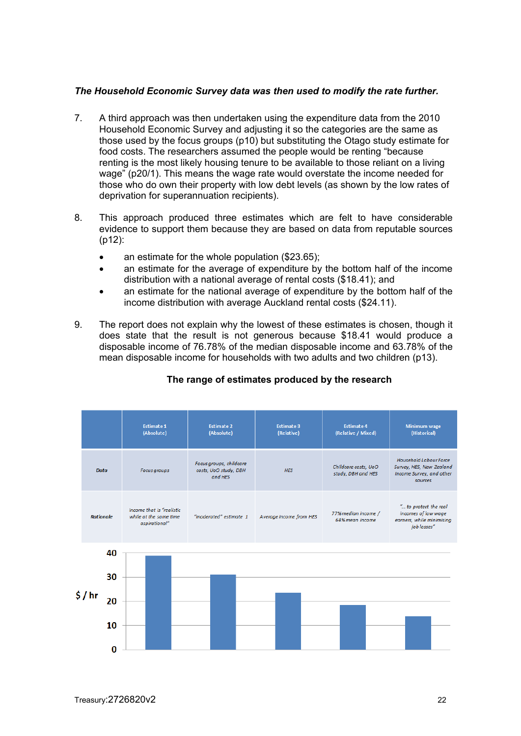#### *The Household Economic Survey data was then used to modify the rate further.*

- 7. A third approach was then undertaken using the expenditure data from the 2010 Household Economic Survey and adjusting it so the categories are the same as those used by the focus groups (p10) but substituting the Otago study estimate for food costs. The researchers assumed the people would be renting "because renting is the most likely housing tenure to be available to those reliant on a living wage" (p20/1). This means the wage rate would overstate the income needed for those who do own their property with low debt levels (as shown by the low rates of deprivation for superannuation recipients).
- 8. This approach produced three estimates which are felt to have considerable evidence to support them because they are based on data from reputable sources (p12):
	- an estimate for the whole population (\$23.65);
	- an estimate for the average of expenditure by the bottom half of the income distribution with a national average of rental costs (\$18.41); and
	- an estimate for the national average of expenditure by the bottom half of the income distribution with average Auckland rental costs (\$24.11).
- 9. The report does not explain why the lowest of these estimates is chosen, though it does state that the result is not generous because \$18.41 would produce a disposable income of 76.78% of the median disposable income and 63.78% of the mean disposable income for households with two adults and two children (p13).

|                  |                      | <b>Estimate 1</b><br>(Absolute)                                                    | <b>Estimate 2</b><br>(Absolute) | <b>Estimate 3</b><br>(Relative) | <b>Estimate 4</b><br>(Relative / Mixed)    | Minimum wage<br>(Historical)                                                              |
|------------------|----------------------|------------------------------------------------------------------------------------|---------------------------------|---------------------------------|--------------------------------------------|-------------------------------------------------------------------------------------------|
| <b>Data</b>      |                      | Focus groups, childcare<br>costs, UoO study, DBH<br><b>Focus</b> groups<br>and HES |                                 | <b>HES</b>                      | Childcare costs, UoO<br>study, DBH and HES | Household Labour Force<br>Survey, HES, New Zealand<br>Income Survey, and other<br>sources |
| <b>Rationale</b> |                      | Income that is "realistic<br>while at the same time<br>aspirational"               | "moderated" estimate 1          | Average income from HES         | 77% median income /<br>64% mean income     | " to protect the real<br>incomes of low wage<br>earners, while minimising<br>job losses"  |
| \$/hr            | 40<br>30<br>20<br>10 |                                                                                    |                                 |                                 |                                            |                                                                                           |
|                  | n                    |                                                                                    |                                 |                                 |                                            |                                                                                           |

# **The range of estimates produced by the research**